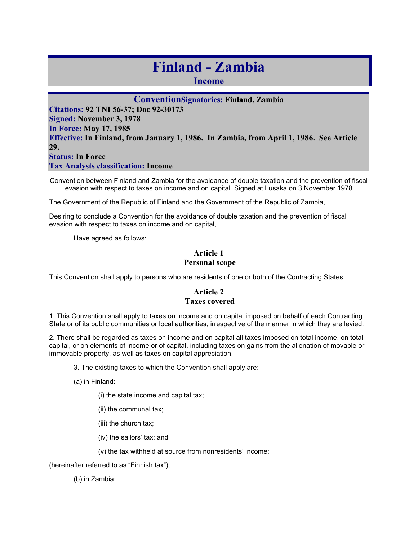# **Finland - Zambia**

**Income** 

**ConventionSignatories: Finland, Zambia Citations: 92 TNI 56-37; Doc 92-30173 Signed: November 3, 1978 In Force: May 17, 1985 Effective: In Finland, from January 1, 1986. In Zambia, from April 1, 1986. See Article 29. Status: In Force Tax Analysts classification: Income** 

Convention between Finland and Zambia for the avoidance of double taxation and the prevention of fiscal evasion with respect to taxes on income and on capital. Signed at Lusaka on 3 November 1978

The Government of the Republic of Finland and the Government of the Republic of Zambia,

Desiring to conclude a Convention for the avoidance of double taxation and the prevention of fiscal evasion with respect to taxes on income and on capital,

Have agreed as follows:

## **Article 1 Personal scope**

This Convention shall apply to persons who are residents of one or both of the Contracting States.

#### **Article 2 Taxes covered**

1. This Convention shall apply to taxes on income and on capital imposed on behalf of each Contracting State or of its public communities or local authorities, irrespective of the manner in which they are levied.

2. There shall be regarded as taxes on income and on capital all taxes imposed on total income, on total capital, or on elements of income or of capital, including taxes on gains from the alienation of movable or immovable property, as well as taxes on capital appreciation.

3. The existing taxes to which the Convention shall apply are:

(a) in Finland:

(i) the state income and capital tax;

(ii) the communal tax;

(iii) the church tax;

(iv) the sailors' tax; and

(v) the tax withheld at source from nonresidents' income;

(hereinafter referred to as "Finnish tax");

(b) in Zambia: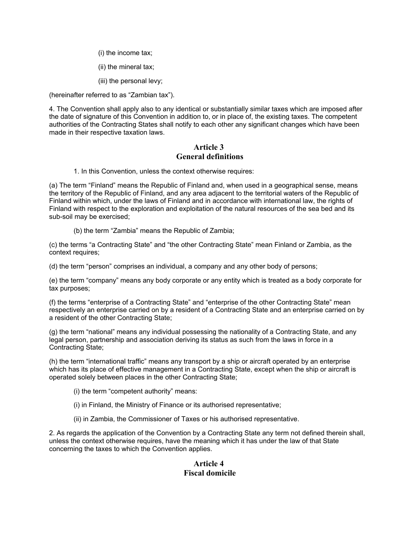- (i) the income tax;
- (ii) the mineral tax;
- (iii) the personal levy;

(hereinafter referred to as "Zambian tax").

4. The Convention shall apply also to any identical or substantially similar taxes which are imposed after the date of signature of this Convention in addition to, or in place of, the existing taxes. The competent authorities of the Contracting States shall notify to each other any significant changes which have been made in their respective taxation laws.

## **Article 3 General definitions**

1. In this Convention, unless the context otherwise requires:

(a) The term "Finland" means the Republic of Finland and, when used in a geographical sense, means the territory of the Republic of Finland, and any area adjacent to the territorial waters of the Republic of Finland within which, under the laws of Finland and in accordance with international law, the rights of Finland with respect to the exploration and exploitation of the natural resources of the sea bed and its sub-soil may be exercised;

(b) the term "Zambia" means the Republic of Zambia;

(c) the terms "a Contracting State" and "the other Contracting State" mean Finland or Zambia, as the context requires:

(d) the term "person" comprises an individual, a company and any other body of persons;

(e) the term "company" means any body corporate or any entity which is treated as a body corporate for tax purposes;

(f) the terms "enterprise of a Contracting State" and "enterprise of the other Contracting State" mean respectively an enterprise carried on by a resident of a Contracting State and an enterprise carried on by a resident of the other Contracting State;

(g) the term "national" means any individual possessing the nationality of a Contracting State, and any legal person, partnership and association deriving its status as such from the laws in force in a Contracting State;

(h) the term "international traffic" means any transport by a ship or aircraft operated by an enterprise which has its place of effective management in a Contracting State, except when the ship or aircraft is operated solely between places in the other Contracting State;

- (i) the term "competent authority" means:
- (i) in Finland, the Ministry of Finance or its authorised representative;
- (ii) in Zambia, the Commissioner of Taxes or his authorised representative.

2. As regards the application of the Convention by a Contracting State any term not defined therein shall, unless the context otherwise requires, have the meaning which it has under the law of that State concerning the taxes to which the Convention applies.

# **Article 4 Fiscal domicile**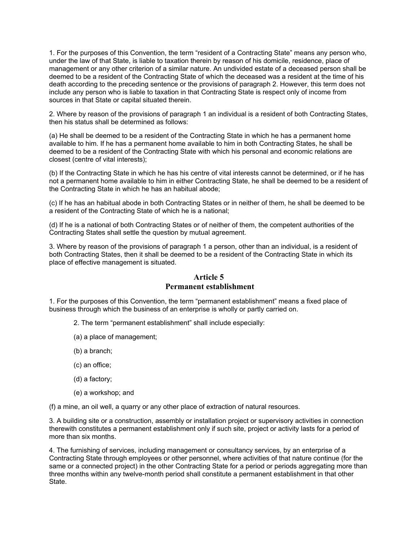1. For the purposes of this Convention, the term "resident of a Contracting State" means any person who, under the law of that State, is liable to taxation therein by reason of his domicile, residence, place of management or any other criterion of a similar nature. An undivided estate of a deceased person shall be deemed to be a resident of the Contracting State of which the deceased was a resident at the time of his death according to the preceding sentence or the provisions of paragraph 2. However, this term does not include any person who is liable to taxation in that Contracting State is respect only of income from sources in that State or capital situated therein.

2. Where by reason of the provisions of paragraph 1 an individual is a resident of both Contracting States, then his status shall be determined as follows:

(a) He shall be deemed to be a resident of the Contracting State in which he has a permanent home available to him. If he has a permanent home available to him in both Contracting States, he shall be deemed to be a resident of the Contracting State with which his personal and economic relations are closest (centre of vital interests);

(b) If the Contracting State in which he has his centre of vital interests cannot be determined, or if he has not a permanent home available to him in either Contracting State, he shall be deemed to be a resident of the Contracting State in which he has an habitual abode;

(c) If he has an habitual abode in both Contracting States or in neither of them, he shall be deemed to be a resident of the Contracting State of which he is a national;

(d) If he is a national of both Contracting States or of neither of them, the competent authorities of the Contracting States shall settle the question by mutual agreement.

3. Where by reason of the provisions of paragraph 1 a person, other than an individual, is a resident of both Contracting States, then it shall be deemed to be a resident of the Contracting State in which its place of effective management is situated.

## **Article 5 Permanent establishment**

1. For the purposes of this Convention, the term "permanent establishment" means a fixed place of business through which the business of an enterprise is wholly or partly carried on.

- 2. The term "permanent establishment" shall include especially:
- (a) a place of management;
- (b) a branch;
- (c) an office;
- (d) a factory;
- (e) a workshop; and

(f) a mine, an oil well, a quarry or any other place of extraction of natural resources.

3. A building site or a construction, assembly or installation project or supervisory activities in connection therewith constitutes a permanent establishment only if such site, project or activity lasts for a period of more than six months.

4. The furnishing of services, including management or consultancy services, by an enterprise of a Contracting State through employees or other personnel, where activities of that nature continue (for the same or a connected project) in the other Contracting State for a period or periods aggregating more than three months within any twelve-month period shall constitute a permanent establishment in that other State.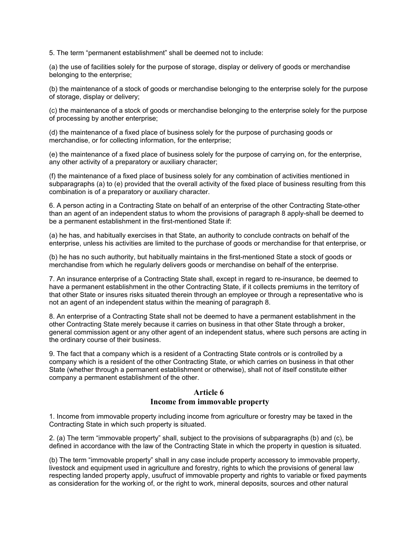5. The term "permanent establishment" shall be deemed not to include:

(a) the use of facilities solely for the purpose of storage, display or delivery of goods or merchandise belonging to the enterprise;

(b) the maintenance of a stock of goods or merchandise belonging to the enterprise solely for the purpose of storage, display or delivery;

(c) the maintenance of a stock of goods or merchandise belonging to the enterprise solely for the purpose of processing by another enterprise;

(d) the maintenance of a fixed place of business solely for the purpose of purchasing goods or merchandise, or for collecting information, for the enterprise;

(e) the maintenance of a fixed place of business solely for the purpose of carrying on, for the enterprise, any other activity of a preparatory or auxiliary character;

(f) the maintenance of a fixed place of business solely for any combination of activities mentioned in subparagraphs (a) to (e) provided that the overall activity of the fixed place of business resulting from this combination is of a preparatory or auxiliary character.

6. A person acting in a Contracting State on behalf of an enterprise of the other Contracting State-other than an agent of an independent status to whom the provisions of paragraph 8 apply-shall be deemed to be a permanent establishment in the first-mentioned State if:

(a) he has, and habitually exercises in that State, an authority to conclude contracts on behalf of the enterprise, unless his activities are limited to the purchase of goods or merchandise for that enterprise, or

(b) he has no such authority, but habitually maintains in the first-mentioned State a stock of goods or merchandise from which he regularly delivers goods or merchandise on behalf of the enterprise.

7. An insurance enterprise of a Contracting State shall, except in regard to re-insurance, be deemed to have a permanent establishment in the other Contracting State, if it collects premiums in the territory of that other State or insures risks situated therein through an employee or through a representative who is not an agent of an independent status within the meaning of paragraph 8.

8. An enterprise of a Contracting State shall not be deemed to have a permanent establishment in the other Contracting State merely because it carries on business in that other State through a broker, general commission agent or any other agent of an independent status, where such persons are acting in the ordinary course of their business.

9. The fact that a company which is a resident of a Contracting State controls or is controlled by a company which is a resident of the other Contracting State, or which carries on business in that other State (whether through a permanent establishment or otherwise), shall not of itself constitute either company a permanent establishment of the other.

#### **Article 6 Income from immovable property**

1. Income from immovable property including income from agriculture or forestry may be taxed in the Contracting State in which such property is situated.

2. (a) The term "immovable property" shall, subject to the provisions of subparagraphs (b) and (c), be defined in accordance with the law of the Contracting State in which the property in question is situated.

(b) The term "immovable property" shall in any case include property accessory to immovable property, livestock and equipment used in agriculture and forestry, rights to which the provisions of general law respecting landed property apply, usufruct of immovable property and rights to variable or fixed payments as consideration for the working of, or the right to work, mineral deposits, sources and other natural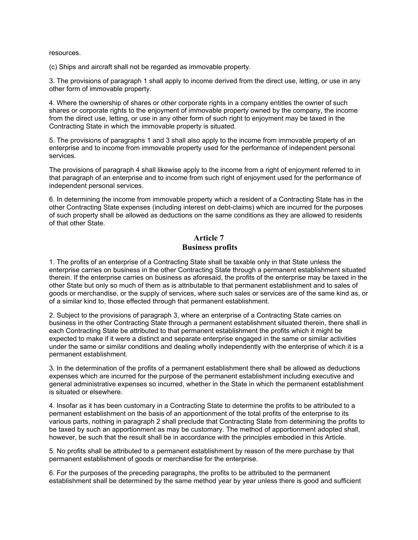resources.

(c) Ships and aircraft shall not be regarded as immovable property.

3. The provisions of paragraph 1 shall apply to income derived from the direct use, letting, or use in any other form of immovable property.

4. Where the ownership of shares or other corporate rights in a company entitles the owner of such shares or corporate rights to the enjoyment of immovable property owned by the company, the income from the direct use, letting, or use in any other form of such right to enjoyment may be taxed in the Contracting State in which the immovable property is situated.

5. The provisions of paragraphs 1 and 3 shall also apply to the income from immovable property of an enterprise and to income from immovable property used for the performance of independent personal services.

The provisions of paragraph 4 shall likewise apply to the income from a right of enjoyment referred to in that paragraph of an enterprise and to income from such right of enjoyment used for the performance of independent personal services.

6. In determining the income from immovable property which a resident of a Contracting State has in the other Contracting State expenses (including interest on debt-claims) which are incurred for the purposes of such property shall be allowed as deductions on the same conditions as they are allowed to residents of that other State.

# **Article 7 Business profits**

1. The profits of an enterprise of a Contracting State shall be taxable only in that State unless the enterprise carries on business in the other Contracting State through a permanent establishment situated therein. If the enterprise carries on business as aforesaid, the profits of the enterprise may be taxed in the other State but only so much of them as is attributable to that permanent establishment and to sales of goods or merchandise, or the supply of services, where such sales or services are of the same kind as, or of a similar kind to, those effected through that permanent establishment.

2. Subject to the provisions of paragraph 3, where an enterprise of a Contracting State carries on business in the other Contracting State through a permanent establishment situated therein, there shall in each Contracting State be attributed to that permanent establishment the profits which it might be expected to make if it were a distinct and separate enterprise engaged in the same or similar activities under the same or similar conditions and dealing wholly independently with the enterprise of which it is a permanent establishment.

3. In the determination of the profits of a permanent establishment there shall be allowed as deductions expenses which are incurred for the purpose of the permanent establishment including executive and general administrative expenses so incurred, whether in the State in which the permanent establishment is situated or elsewhere.

4. Insofar as it has been customary in a Contracting State to determine the profits to be attributed to a permanent establishment on the basis of an apportionment of the total profits of the enterprise to its various parts, nothing in paragraph 2 shall preclude that Contracting State from determining the profits to be taxed by such an apportionment as may be customary. The method of apportionment adopted shall, however, be such that the result shall be in accordance with the principles embodied in this Article.

5. No profits shall be attributed to a permanent establishment by reason of the mere purchase by that permanent establishment of goods or merchandise for the enterprise.

6. For the purposes of the preceding paragraphs, the profits to be attributed to the permanent establishment shall be determined by the same method year by year unless there is good and sufficient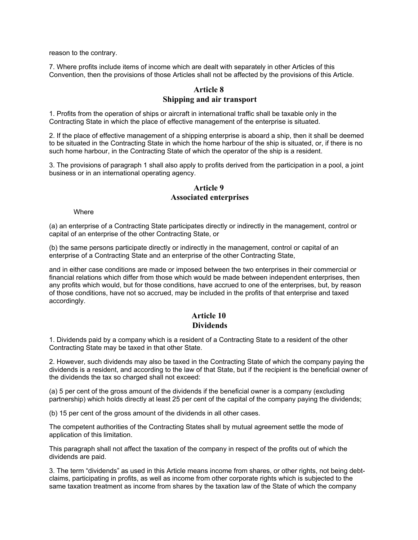reason to the contrary.

7. Where profits include items of income which are dealt with separately in other Articles of this Convention, then the provisions of those Articles shall not be affected by the provisions of this Article.

## **Article 8 Shipping and air transport**

1. Profits from the operation of ships or aircraft in international traffic shall be taxable only in the Contracting State in which the place of effective management of the enterprise is situated.

2. If the place of effective management of a shipping enterprise is aboard a ship, then it shall be deemed to be situated in the Contracting State in which the home harbour of the ship is situated, or, if there is no such home harbour, in the Contracting State of which the operator of the ship is a resident.

3. The provisions of paragraph 1 shall also apply to profits derived from the participation in a pool, a joint business or in an international operating agency.

## **Article 9 Associated enterprises**

**Where** 

(a) an enterprise of a Contracting State participates directly or indirectly in the management, control or capital of an enterprise of the other Contracting State, or

(b) the same persons participate directly or indirectly in the management, control or capital of an enterprise of a Contracting State and an enterprise of the other Contracting State,

and in either case conditions are made or imposed between the two enterprises in their commercial or financial relations which differ from those which would be made between independent enterprises, then any profits which would, but for those conditions, have accrued to one of the enterprises, but, by reason of those conditions, have not so accrued, may be included in the profits of that enterprise and taxed accordingly.

## **Article 10 Dividends**

1. Dividends paid by a company which is a resident of a Contracting State to a resident of the other Contracting State may be taxed in that other State.

2. However, such dividends may also be taxed in the Contracting State of which the company paying the dividends is a resident, and according to the law of that State, but if the recipient is the beneficial owner of the dividends the tax so charged shall not exceed:

(a) 5 per cent of the gross amount of the dividends if the beneficial owner is a company (excluding partnership) which holds directly at least 25 per cent of the capital of the company paying the dividends;

(b) 15 per cent of the gross amount of the dividends in all other cases.

The competent authorities of the Contracting States shall by mutual agreement settle the mode of application of this limitation.

This paragraph shall not affect the taxation of the company in respect of the profits out of which the dividends are paid.

3. The term "dividends" as used in this Article means income from shares, or other rights, not being debtclaims, participating in profits, as well as income from other corporate rights which is subjected to the same taxation treatment as income from shares by the taxation law of the State of which the company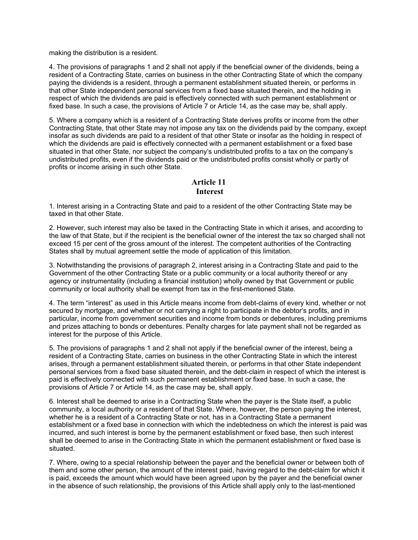making the distribution is a resident.

4. The provisions of paragraphs 1 and 2 shall not apply if the beneficial owner of the dividends, being a resident of a Contracting State, carries on business in the other Contracting State of which the company paying the dividends is a resident, through a permanent establishment situated therein, or performs in that other State independent personal services from a fixed base situated therein, and the holding in respect of which the dividends are paid is effectively connected with such permanent establishment or fixed base. In such a case, the provisions of Article 7 or Article 14, as the case may be, shall apply.

5. Where a company which is a resident of a Contracting State derives profits or income from the other Contracting State, that other State may not impose any tax on the dividends paid by the company, except insofar as such dividends are paid to a resident of that other State or insofar as the holding in respect of which the dividends are paid is effectively connected with a permanent establishment or a fixed base situated in that other State, nor subject the company's undistributed profits to a tax on the company's undistributed profits, even if the dividends paid or the undistributed profits consist wholly or partly of profits or income arising in such other State.

# **Article 11 Interest**

1. Interest arising in a Contracting State and paid to a resident of the other Contracting State may be taxed in that other State.

2. However, such interest may also be taxed in the Contracting State in which it arises, and according to the law of that State, but if the recipient is the beneficial owner of the interest the tax so charged shall not exceed 15 per cent of the gross amount of the interest. The competent authorities of the Contracting States shall by mutual agreement settle the mode of application of this limitation.

3. Notwithstanding the provisions of paragraph 2, interest arising in a Contracting State and paid to the Government of the other Contracting State or a public community or a local authority thereof or any agency or instrumentality (including a financial institution) wholly owned by that Government or public community or local authority shall be exempt from tax in the first-mentioned State.

4. The term "interest" as used in this Article means income from debt-claims of every kind, whether or not secured by mortgage, and whether or not carrying a right to participate in the debtor's profits, and in particular, income from government securities and income from bonds or debentures, including premiums and prizes attaching to bonds or debentures. Penalty charges for late payment shall not be regarded as interest for the purpose of this Article.

5. The provisions of paragraphs 1 and 2 shall not apply if the beneficial owner of the interest, being a resident of a Contracting State, carries on business in the other Contracting State in which the interest arises, through a permanent establishment situated therein, or performs in that other State independent personal services from a fixed base situated therein, and the debt-claim in respect of which the interest is paid is effectively connected with such permanent establishment or fixed base. In such a case, the provisions of Article 7 or Article 14, as the case may be, shall apply.

6. Interest shall be deemed to arise in a Contracting State when the payer is the State itself, a public community, a local authority or a resident of that State. Where, however, the person paying the interest, whether he is a resident of a Contracting State or not, has in a Contracting State a permanent establishment or a fixed base in connection with which the indebtedness on which the interest is paid was incurred, and such interest is borne by the permanent establishment or fixed base, then such interest shall be deemed to arise in the Contracting State in which the permanent establishment or fixed base is situated.

7. Where, owing to a special relationship between the payer and the beneficial owner or between both of them and some other person, the amount of the interest paid, having regard to the debt-claim for which it is paid, exceeds the amount which would have been agreed upon by the payer and the beneficial owner in the absence of such relationship, the provisions of this Article shall apply only to the last-mentioned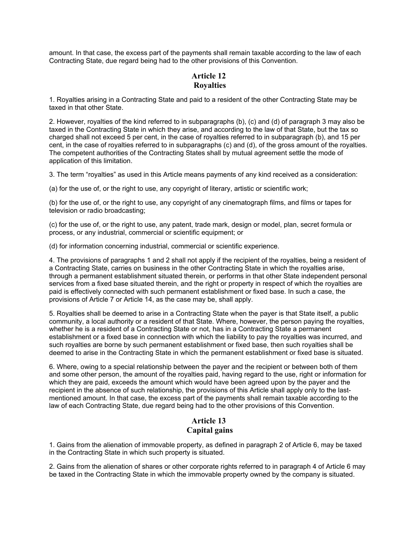amount. In that case, the excess part of the payments shall remain taxable according to the law of each Contracting State, due regard being had to the other provisions of this Convention.

# **Article 12 Royalties**

1. Royalties arising in a Contracting State and paid to a resident of the other Contracting State may be taxed in that other State.

2. However, royalties of the kind referred to in subparagraphs (b), (c) and (d) of paragraph 3 may also be taxed in the Contracting State in which they arise, and according to the law of that State, but the tax so charged shall not exceed 5 per cent, in the case of royalties referred to in subparagraph (b), and 15 per cent, in the case of royalties referred to in subparagraphs (c) and (d), of the gross amount of the royalties. The competent authorities of the Contracting States shall by mutual agreement settle the mode of application of this limitation.

3. The term "royalties" as used in this Article means payments of any kind received as a consideration:

(a) for the use of, or the right to use, any copyright of literary, artistic or scientific work;

(b) for the use of, or the right to use, any copyright of any cinematograph films, and films or tapes for television or radio broadcasting;

(c) for the use of, or the right to use, any patent, trade mark, design or model, plan, secret formula or process, or any industrial, commercial or scientific equipment; or

(d) for information concerning industrial, commercial or scientific experience.

4. The provisions of paragraphs 1 and 2 shall not apply if the recipient of the royalties, being a resident of a Contracting State, carries on business in the other Contracting State in which the royalties arise, through a permanent establishment situated therein, or performs in that other State independent personal services from a fixed base situated therein, and the right or property in respect of which the royalties are paid is effectively connected with such permanent establishment or fixed base. In such a case, the provisions of Article 7 or Article 14, as the case may be, shall apply.

5. Royalties shall be deemed to arise in a Contracting State when the payer is that State itself, a public community, a local authority or a resident of that State. Where, however, the person paying the royalties, whether he is a resident of a Contracting State or not, has in a Contracting State a permanent establishment or a fixed base in connection with which the liability to pay the royalties was incurred, and such royalties are borne by such permanent establishment or fixed base, then such royalties shall be deemed to arise in the Contracting State in which the permanent establishment or fixed base is situated.

6. Where, owing to a special relationship between the payer and the recipient or between both of them and some other person, the amount of the royalties paid, having regard to the use, right or information for which they are paid, exceeds the amount which would have been agreed upon by the payer and the recipient in the absence of such relationship, the provisions of this Article shall apply only to the lastmentioned amount. In that case, the excess part of the payments shall remain taxable according to the law of each Contracting State, due regard being had to the other provisions of this Convention.

# **Article 13 Capital gains**

1. Gains from the alienation of immovable property, as defined in paragraph 2 of Article 6, may be taxed in the Contracting State in which such property is situated.

2. Gains from the alienation of shares or other corporate rights referred to in paragraph 4 of Article 6 may be taxed in the Contracting State in which the immovable property owned by the company is situated.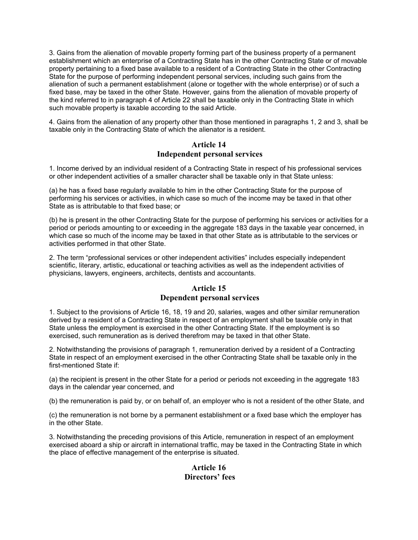3. Gains from the alienation of movable property forming part of the business property of a permanent establishment which an enterprise of a Contracting State has in the other Contracting State or of movable property pertaining to a fixed base available to a resident of a Contracting State in the other Contracting State for the purpose of performing independent personal services, including such gains from the alienation of such a permanent establishment (alone or together with the whole enterprise) or of such a fixed base, may be taxed in the other State. However, gains from the alienation of movable property of the kind referred to in paragraph 4 of Article 22 shall be taxable only in the Contracting State in which such movable property is taxable according to the said Article.

4. Gains from the alienation of any property other than those mentioned in paragraphs 1, 2 and 3, shall be taxable only in the Contracting State of which the alienator is a resident.

# **Article 14 Independent personal services**

1. Income derived by an individual resident of a Contracting State in respect of his professional services or other independent activities of a smaller character shall be taxable only in that State unless:

(a) he has a fixed base regularly available to him in the other Contracting State for the purpose of performing his services or activities, in which case so much of the income may be taxed in that other State as is attributable to that fixed base; or

(b) he is present in the other Contracting State for the purpose of performing his services or activities for a period or periods amounting to or exceeding in the aggregate 183 days in the taxable year concerned, in which case so much of the income may be taxed in that other State as is attributable to the services or activities performed in that other State.

2. The term "professional services or other independent activities" includes especially independent scientific, literary, artistic, educational or teaching activities as well as the independent activities of physicians, lawyers, engineers, architects, dentists and accountants.

## **Article 15 Dependent personal services**

1. Subject to the provisions of Article 16, 18, 19 and 20, salaries, wages and other similar remuneration derived by a resident of a Contracting State in respect of an employment shall be taxable only in that State unless the employment is exercised in the other Contracting State. If the employment is so exercised, such remuneration as is derived therefrom may be taxed in that other State.

2. Notwithstanding the provisions of paragraph 1, remuneration derived by a resident of a Contracting State in respect of an employment exercised in the other Contracting State shall be taxable only in the first-mentioned State if:

(a) the recipient is present in the other State for a period or periods not exceeding in the aggregate 183 days in the calendar year concerned, and

(b) the remuneration is paid by, or on behalf of, an employer who is not a resident of the other State, and

(c) the remuneration is not borne by a permanent establishment or a fixed base which the employer has in the other State.

3. Notwithstanding the preceding provisions of this Article, remuneration in respect of an employment exercised aboard a ship or aircraft in international traffic, may be taxed in the Contracting State in which the place of effective management of the enterprise is situated.

## **Article 16 Directors' fees**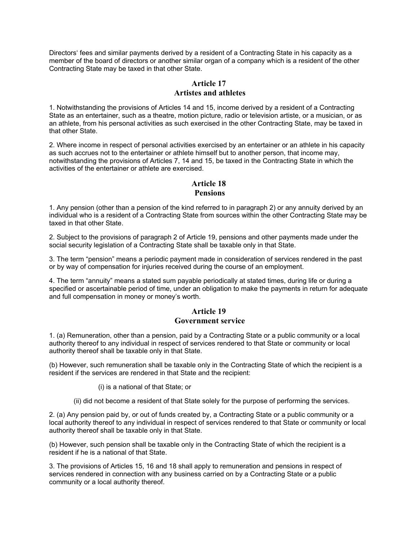Directors' fees and similar payments derived by a resident of a Contracting State in his capacity as a member of the board of directors or another similar organ of a company which is a resident of the other Contracting State may be taxed in that other State.

## **Article 17 Artistes and athletes**

1. Notwithstanding the provisions of Articles 14 and 15, income derived by a resident of a Contracting State as an entertainer, such as a theatre, motion picture, radio or television artiste, or a musician, or as an athlete, from his personal activities as such exercised in the other Contracting State, may be taxed in that other State.

2. Where income in respect of personal activities exercised by an entertainer or an athlete in his capacity as such accrues not to the entertainer or athlete himself but to another person, that income may, notwithstanding the provisions of Articles 7, 14 and 15, be taxed in the Contracting State in which the activities of the entertainer or athlete are exercised.

## **Article 18 Pensions**

1. Any pension (other than a pension of the kind referred to in paragraph 2) or any annuity derived by an individual who is a resident of a Contracting State from sources within the other Contracting State may be taxed in that other State.

2. Subject to the provisions of paragraph 2 of Article 19, pensions and other payments made under the social security legislation of a Contracting State shall be taxable only in that State.

3. The term "pension" means a periodic payment made in consideration of services rendered in the past or by way of compensation for injuries received during the course of an employment.

4. The term "annuity" means a stated sum payable periodically at stated times, during life or during a specified or ascertainable period of time, under an obligation to make the payments in return for adequate and full compensation in money or money's worth.

#### **Article 19 Government service**

1. (a) Remuneration, other than a pension, paid by a Contracting State or a public community or a local authority thereof to any individual in respect of services rendered to that State or community or local authority thereof shall be taxable only in that State.

(b) However, such remuneration shall be taxable only in the Contracting State of which the recipient is a resident if the services are rendered in that State and the recipient:

#### (i) is a national of that State; or

(ii) did not become a resident of that State solely for the purpose of performing the services.

2. (a) Any pension paid by, or out of funds created by, a Contracting State or a public community or a local authority thereof to any individual in respect of services rendered to that State or community or local authority thereof shall be taxable only in that State.

(b) However, such pension shall be taxable only in the Contracting State of which the recipient is a resident if he is a national of that State.

3. The provisions of Articles 15, 16 and 18 shall apply to remuneration and pensions in respect of services rendered in connection with any business carried on by a Contracting State or a public community or a local authority thereof.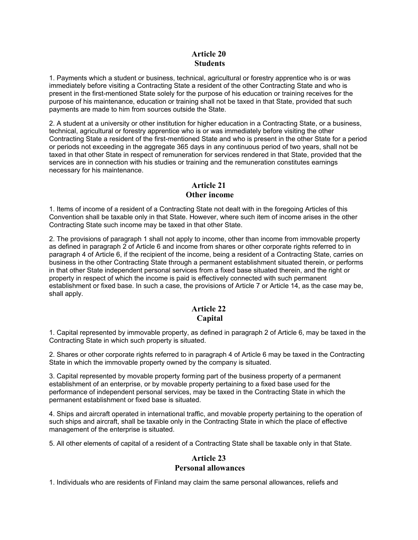# **Article 20 Students**

1. Payments which a student or business, technical, agricultural or forestry apprentice who is or was immediately before visiting a Contracting State a resident of the other Contracting State and who is present in the first-mentioned State solely for the purpose of his education or training receives for the purpose of his maintenance, education or training shall not be taxed in that State, provided that such payments are made to him from sources outside the State.

2. A student at a university or other institution for higher education in a Contracting State, or a business, technical, agricultural or forestry apprentice who is or was immediately before visiting the other Contracting State a resident of the first-mentioned State and who is present in the other State for a period or periods not exceeding in the aggregate 365 days in any continuous period of two years, shall not be taxed in that other State in respect of remuneration for services rendered in that State, provided that the services are in connection with his studies or training and the remuneration constitutes earnings necessary for his maintenance.

# **Article 21 Other income**

1. Items of income of a resident of a Contracting State not dealt with in the foregoing Articles of this Convention shall be taxable only in that State. However, where such item of income arises in the other Contracting State such income may be taxed in that other State.

2. The provisions of paragraph 1 shall not apply to income, other than income from immovable property as defined in paragraph 2 of Article 6 and income from shares or other corporate rights referred to in paragraph 4 of Article 6, if the recipient of the income, being a resident of a Contracting State, carries on business in the other Contracting State through a permanent establishment situated therein, or performs in that other State independent personal services from a fixed base situated therein, and the right or property in respect of which the income is paid is effectively connected with such permanent establishment or fixed base. In such a case, the provisions of Article 7 or Article 14, as the case may be, shall apply.

## **Article 22 Capital**

1. Capital represented by immovable property, as defined in paragraph 2 of Article 6, may be taxed in the Contracting State in which such property is situated.

2. Shares or other corporate rights referred to in paragraph 4 of Article 6 may be taxed in the Contracting State in which the immovable property owned by the company is situated.

3. Capital represented by movable property forming part of the business property of a permanent establishment of an enterprise, or by movable property pertaining to a fixed base used for the performance of independent personal services, may be taxed in the Contracting State in which the permanent establishment or fixed base is situated.

4. Ships and aircraft operated in international traffic, and movable property pertaining to the operation of such ships and aircraft, shall be taxable only in the Contracting State in which the place of effective management of the enterprise is situated.

5. All other elements of capital of a resident of a Contracting State shall be taxable only in that State.

#### **Article 23 Personal allowances**

1. Individuals who are residents of Finland may claim the same personal allowances, reliefs and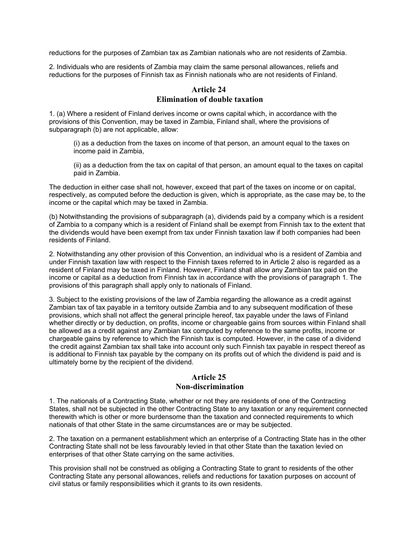reductions for the purposes of Zambian tax as Zambian nationals who are not residents of Zambia.

2. Individuals who are residents of Zambia may claim the same personal allowances, reliefs and reductions for the purposes of Finnish tax as Finnish nationals who are not residents of Finland.

## **Article 24 Elimination of double taxation**

1. (a) Where a resident of Finland derives income or owns capital which, in accordance with the provisions of this Convention, may be taxed in Zambia, Finland shall, where the provisions of subparagraph (b) are not applicable, allow:

(i) as a deduction from the taxes on income of that person, an amount equal to the taxes on income paid in Zambia,

(ii) as a deduction from the tax on capital of that person, an amount equal to the taxes on capital paid in Zambia.

The deduction in either case shall not, however, exceed that part of the taxes on income or on capital, respectively, as computed before the deduction is given, which is appropriate, as the case may be, to the income or the capital which may be taxed in Zambia.

(b) Notwithstanding the provisions of subparagraph (a), dividends paid by a company which is a resident of Zambia to a company which is a resident of Finland shall be exempt from Finnish tax to the extent that the dividends would have been exempt from tax under Finnish taxation law if both companies had been residents of Finland.

2. Notwithstanding any other provision of this Convention, an individual who is a resident of Zambia and under Finnish taxation law with respect to the Finnish taxes referred to in Article 2 also is regarded as a resident of Finland may be taxed in Finland. However, Finland shall allow any Zambian tax paid on the income or capital as a deduction from Finnish tax in accordance with the provisions of paragraph 1. The provisions of this paragraph shall apply only to nationals of Finland.

3. Subject to the existing provisions of the law of Zambia regarding the allowance as a credit against Zambian tax of tax payable in a territory outside Zambia and to any subsequent modification of these provisions, which shall not affect the general principle hereof, tax payable under the laws of Finland whether directly or by deduction, on profits, income or chargeable gains from sources within Finland shall be allowed as a credit against any Zambian tax computed by reference to the same profits, income or chargeable gains by reference to which the Finnish tax is computed. However, in the case of a dividend the credit against Zambian tax shall take into account only such Finnish tax payable in respect thereof as is additional to Finnish tax payable by the company on its profits out of which the dividend is paid and is ultimately borne by the recipient of the dividend.

#### **Article 25 Non-discrimination**

1. The nationals of a Contracting State, whether or not they are residents of one of the Contracting States, shall not be subjected in the other Contracting State to any taxation or any requirement connected therewith which is other or more burdensome than the taxation and connected requirements to which nationals of that other State in the same circumstances are or may be subjected.

2. The taxation on a permanent establishment which an enterprise of a Contracting State has in the other Contracting State shall not be less favourably levied in that other State than the taxation levied on enterprises of that other State carrying on the same activities.

This provision shall not be construed as obliging a Contracting State to grant to residents of the other Contracting State any personal allowances, reliefs and reductions for taxation purposes on account of civil status or family responsibilities which it grants to its own residents.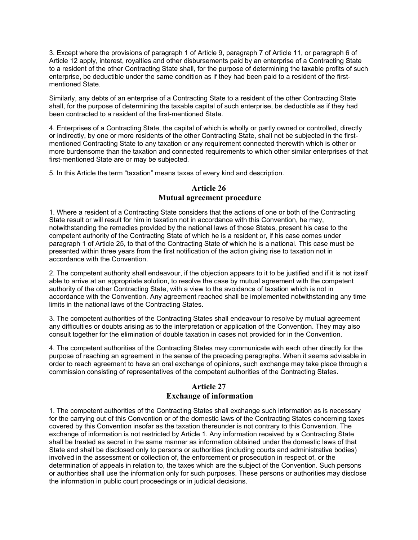3. Except where the provisions of paragraph 1 of Article 9, paragraph 7 of Article 11, or paragraph 6 of Article 12 apply, interest, royalties and other disbursements paid by an enterprise of a Contracting State to a resident of the other Contracting State shall, for the purpose of determining the taxable profits of such enterprise, be deductible under the same condition as if they had been paid to a resident of the firstmentioned State.

Similarly, any debts of an enterprise of a Contracting State to a resident of the other Contracting State shall, for the purpose of determining the taxable capital of such enterprise, be deductible as if they had been contracted to a resident of the first-mentioned State.

4. Enterprises of a Contracting State, the capital of which is wholly or partly owned or controlled, directly or indirectly, by one or more residents of the other Contracting State, shall not be subjected in the firstmentioned Contracting State to any taxation or any requirement connected therewith which is other or more burdensome than the taxation and connected requirements to which other similar enterprises of that first-mentioned State are or may be subjected.

5. In this Article the term "taxation" means taxes of every kind and description.

## **Article 26**

#### **Mutual agreement procedure**

1. Where a resident of a Contracting State considers that the actions of one or both of the Contracting State result or will result for him in taxation not in accordance with this Convention, he may, notwithstanding the remedies provided by the national laws of those States, present his case to the competent authority of the Contracting State of which he is a resident or, if his case comes under paragraph 1 of Article 25, to that of the Contracting State of which he is a national. This case must be presented within three years from the first notification of the action giving rise to taxation not in accordance with the Convention.

2. The competent authority shall endeavour, if the objection appears to it to be justified and if it is not itself able to arrive at an appropriate solution, to resolve the case by mutual agreement with the competent authority of the other Contracting State, with a view to the avoidance of taxation which is not in accordance with the Convention. Any agreement reached shall be implemented notwithstanding any time limits in the national laws of the Contracting States.

3. The competent authorities of the Contracting States shall endeavour to resolve by mutual agreement any difficulties or doubts arising as to the interpretation or application of the Convention. They may also consult together for the elimination of double taxation in cases not provided for in the Convention.

4. The competent authorities of the Contracting States may communicate with each other directly for the purpose of reaching an agreement in the sense of the preceding paragraphs. When it seems advisable in order to reach agreement to have an oral exchange of opinions, such exchange may take place through a commission consisting of representatives of the competent authorities of the Contracting States.

# **Article 27 Exchange of information**

1. The competent authorities of the Contracting States shall exchange such information as is necessary for the carrying out of this Convention or of the domestic laws of the Contracting States concerning taxes covered by this Convention insofar as the taxation thereunder is not contrary to this Convention. The exchange of information is not restricted by Article 1. Any information received by a Contracting State shall be treated as secret in the same manner as information obtained under the domestic laws of that State and shall be disclosed only to persons or authorities (including courts and administrative bodies) involved in the assessment or collection of, the enforcement or prosecution in respect of, or the determination of appeals in relation to, the taxes which are the subject of the Convention. Such persons or authorities shall use the information only for such purposes. These persons or authorities may disclose the information in public court proceedings or in judicial decisions.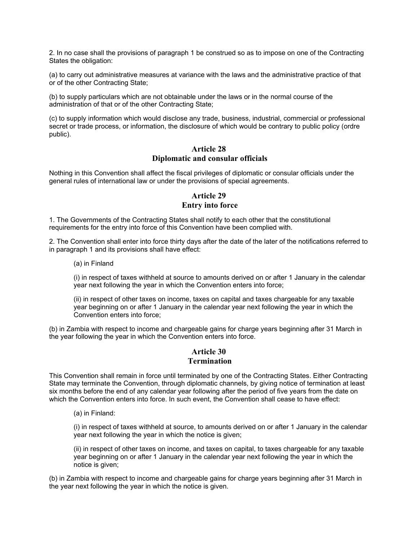2. In no case shall the provisions of paragraph 1 be construed so as to impose on one of the Contracting States the obligation:

(a) to carry out administrative measures at variance with the laws and the administrative practice of that or of the other Contracting State;

(b) to supply particulars which are not obtainable under the laws or in the normal course of the administration of that or of the other Contracting State;

(c) to supply information which would disclose any trade, business, industrial, commercial or professional secret or trade process, or information, the disclosure of which would be contrary to public policy (ordre public).

#### **Article 28 Diplomatic and consular officials**

Nothing in this Convention shall affect the fiscal privileges of diplomatic or consular officials under the general rules of international law or under the provisions of special agreements.

# **Article 29 Entry into force**

1. The Governments of the Contracting States shall notify to each other that the constitutional requirements for the entry into force of this Convention have been complied with.

2. The Convention shall enter into force thirty days after the date of the later of the notifications referred to in paragraph 1 and its provisions shall have effect:

(a) in Finland

(i) in respect of taxes withheld at source to amounts derived on or after 1 January in the calendar year next following the year in which the Convention enters into force;

(ii) in respect of other taxes on income, taxes on capital and taxes chargeable for any taxable year beginning on or after 1 January in the calendar year next following the year in which the Convention enters into force;

(b) in Zambia with respect to income and chargeable gains for charge years beginning after 31 March in the year following the year in which the Convention enters into force.

# **Article 30 Termination**

This Convention shall remain in force until terminated by one of the Contracting States. Either Contracting State may terminate the Convention, through diplomatic channels, by giving notice of termination at least six months before the end of any calendar year following after the period of five years from the date on which the Convention enters into force. In such event, the Convention shall cease to have effect:

(a) in Finland:

(i) in respect of taxes withheld at source, to amounts derived on or after 1 January in the calendar year next following the year in which the notice is given;

(ii) in respect of other taxes on income, and taxes on capital, to taxes chargeable for any taxable year beginning on or after 1 January in the calendar year next following the year in which the notice is given;

(b) in Zambia with respect to income and chargeable gains for charge years beginning after 31 March in the year next following the year in which the notice is given.